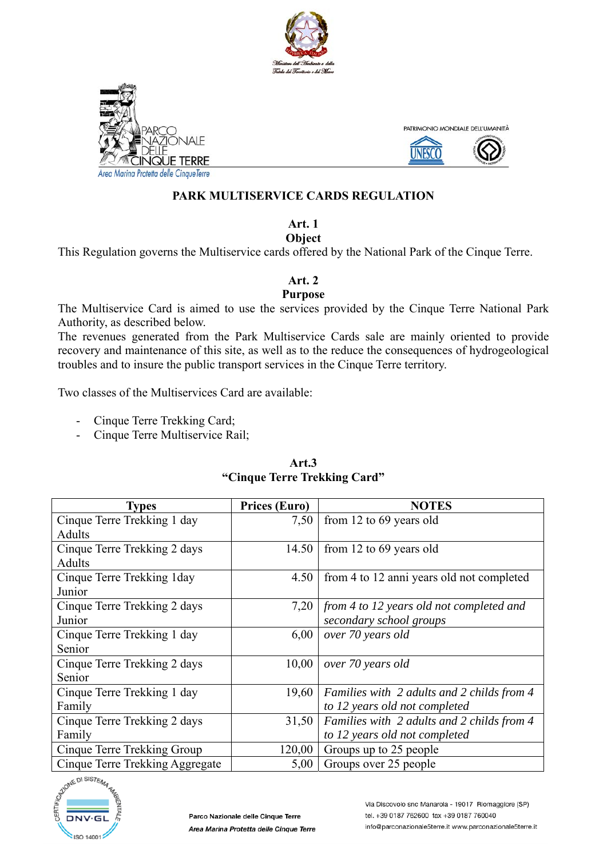





Area Marina Protetta delle CinqueTerre

#### **PARK MULTISERVICE CARDS REGULATION**

#### **Art. 1 Object**

This Regulation governs the Multiservice cards offered by the National Park of the Cinque Terre.

#### **Art. 2**

#### **Purpose**

The Multiservice Card is aimed to use the services provided by the Cinque Terre National Park Authority, as described below.

The revenues generated from the Park Multiservice Cards sale are mainly oriented to provide recovery and maintenance of this site, as well as to the reduce the consequences of hydrogeological troubles and to insure the public transport services in the Cinque Terre territory.

Two classes of the Multiservices Card are available:

- Cinque Terre Trekking Card;
- Cinque Terre Multiservice Rail;

| <b>Types</b>                    | Prices (Euro) | <b>NOTES</b>                               |
|---------------------------------|---------------|--------------------------------------------|
| Cinque Terre Trekking 1 day     | 7,50          | from 12 to 69 years old                    |
| Adults                          |               |                                            |
| Cinque Terre Trekking 2 days    | 14.50         | from 12 to 69 years old                    |
| Adults                          |               |                                            |
| Cinque Terre Trekking 1 day     | 4.50          | from 4 to 12 anni years old not completed  |
| Junior                          |               |                                            |
| Cinque Terre Trekking 2 days    | 7,20          | from 4 to 12 years old not completed and   |
| Junior                          |               | secondary school groups                    |
| Cinque Terre Trekking 1 day     | 6,00          | over 70 years old                          |
| Senior                          |               |                                            |
| Cinque Terre Trekking 2 days    | 10,00         | over 70 years old                          |
| Senior                          |               |                                            |
| Cinque Terre Trekking 1 day     | 19,60         | Families with 2 adults and 2 childs from 4 |
| Family                          |               | to 12 years old not completed              |
| Cinque Terre Trekking 2 days    | 31,50         | Families with 2 adults and 2 childs from 4 |
| Family                          |               | to 12 years old not completed              |
| Cinque Terre Trekking Group     | 120,00        | Groups up to 25 people                     |
| Cinque Terre Trekking Aggregate | 5,00          | Groups over 25 people                      |

# **Art.3 "Cinque Terre Trekking Card"**

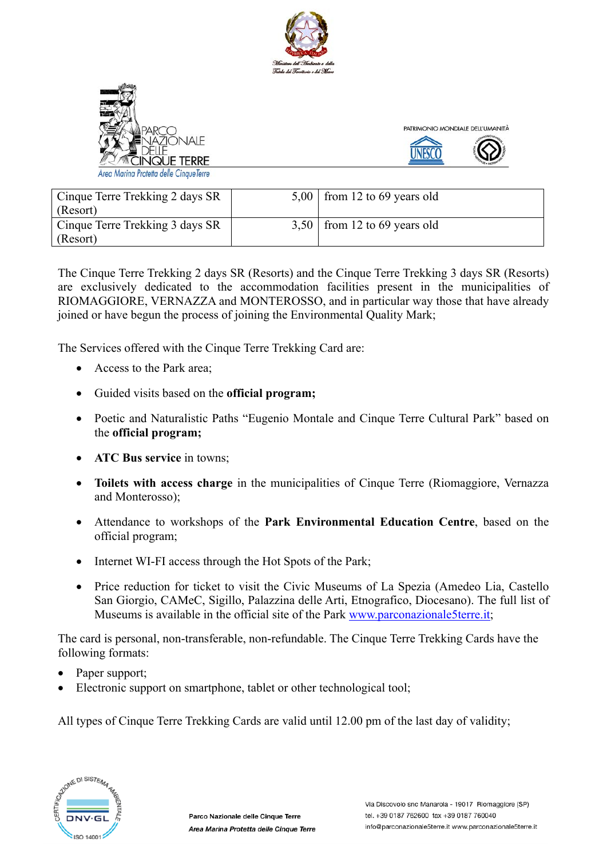





Area Marina Protetta delle CinqueTerre

| Cinque Terre Trekking 2 days SR | $5,00$   from 12 to 69 years old |
|---------------------------------|----------------------------------|
| (Resort)                        |                                  |
| Cinque Terre Trekking 3 days SR | $3,50$   from 12 to 69 years old |
| (Resort)                        |                                  |

The Cinque Terre Trekking 2 days SR (Resorts) and the Cinque Terre Trekking 3 days SR (Resorts) are exclusively dedicated to the accommodation facilities present in the municipalities of RIOMAGGIORE, VERNAZZA and MONTEROSSO, and in particular way those that have already joined or have begun the process of joining the Environmental Quality Mark;

The Services offered with the Cinque Terre Trekking Card are:

- Access to the Park area;
- Guided visits based on the **official program;**
- Poetic and Naturalistic Paths "Eugenio Montale and Cinque Terre Cultural Park" based on the **official program;**
- **ATC Bus service in towns:**
- **Toilets with access charge** in the municipalities of Cinque Terre (Riomaggiore, Vernazza and Monterosso);
- Attendance to workshops of the **Park Environmental Education Centre**, based on the official program;
- Internet WI-FI access through the Hot Spots of the Park;
- Price reduction for ticket to visit the Civic Museums of La Spezia (Amedeo Lia, Castello San Giorgio, CAMeC, Sigillo, Palazzina delle Arti, Etnografico, Diocesano). The full list of Museums is available in the official site of the Park www.parconazionale5terre.it;

The card is personal, non-transferable, non-refundable. The Cinque Terre Trekking Cards have the following formats:

- Paper support;
- Electronic support on smartphone, tablet or other technological tool;

All types of Cinque Terre Trekking Cards are valid until 12.00 pm of the last day of validity;

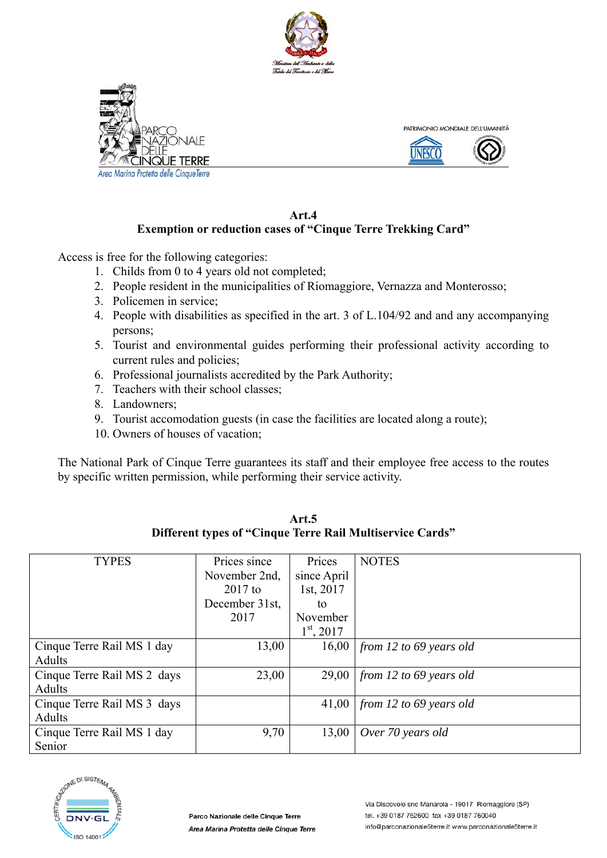



Area Marina Protetta delle CinqueTerre



#### **Art.4 Exemption or reduction cases of "Cinque Terre Trekking Card"**

Access is free for the following categories:

- 1. Childs from 0 to 4 years old not completed;
- 2. People resident in the municipalities of Riomaggiore, Vernazza and Monterosso;
- 3. Policemen in service;
- 4. People with disabilities as specified in the art. 3 of L.104/92 and and any accompanying persons;
- 5. Tourist and environmental guides performing their professional activity according to current rules and policies;
- 6. Professional journalists accredited by the Park Authority;
- 7. Teachers with their school classes;
- 8. Landowners;
- 9. Tourist accomodation guests (in case the facilities are located along a route);
- 10. Owners of houses of vacation;

The National Park of Cinque Terre guarantees its staff and their employee free access to the routes by specific written permission, while performing their service activity.

| <b>TYPES</b>                | Prices since   | Prices       | <b>NOTES</b>            |
|-----------------------------|----------------|--------------|-------------------------|
|                             | November 2nd,  | since April  |                         |
|                             | $2017$ to      | 1st, 2017    |                         |
|                             | December 31st, | to           |                         |
|                             | 2017           | November     |                         |
|                             |                | $1st$ , 2017 |                         |
| Cinque Terre Rail MS 1 day  | 13,00          | 16,00        | from 12 to 69 years old |
| Adults                      |                |              |                         |
| Cinque Terre Rail MS 2 days | 23,00          | 29,00        | from 12 to 69 years old |
| Adults                      |                |              |                         |
| Cinque Terre Rail MS 3 days |                | 41,00        | from 12 to 69 years old |
| Adults                      |                |              |                         |
| Cinque Terre Rail MS 1 day  | 9,70           | 13,00        | Over 70 years old       |
| Senior                      |                |              |                         |



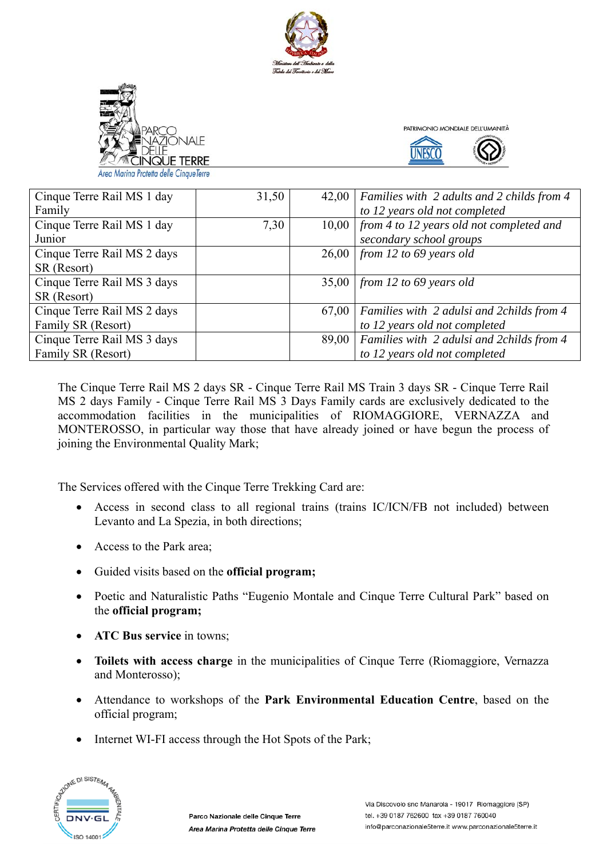





| Cinque Terre Rail MS 1 day  | 31,50 | 42,00 | Families with 2 adults and 2 childs from 4 |
|-----------------------------|-------|-------|--------------------------------------------|
| Family                      |       |       | to 12 years old not completed              |
| Cinque Terre Rail MS 1 day  | 7,30  | 10,00 | from 4 to 12 years old not completed and   |
| Junior                      |       |       | secondary school groups                    |
| Cinque Terre Rail MS 2 days |       | 26,00 | from 12 to 69 years old                    |
| SR (Resort)                 |       |       |                                            |
| Cinque Terre Rail MS 3 days |       |       | $35,00$   from 12 to 69 years old          |
| SR (Resort)                 |       |       |                                            |
| Cinque Terre Rail MS 2 days |       | 67,00 | Families with 2 adulsi and 2 childs from 4 |
| Family SR (Resort)          |       |       | to 12 years old not completed              |
| Cinque Terre Rail MS 3 days |       | 89,00 | Families with 2 adulsi and 2childs from 4  |
| Family SR (Resort)          |       |       | to 12 years old not completed              |

The Cinque Terre Rail MS 2 days SR - Cinque Terre Rail MS Train 3 days SR - Cinque Terre Rail MS 2 days Family - Cinque Terre Rail MS 3 Days Family cards are exclusively dedicated to the accommodation facilities in the municipalities of RIOMAGGIORE, VERNAZZA and MONTEROSSO, in particular way those that have already joined or have begun the process of joining the Environmental Quality Mark;

The Services offered with the Cinque Terre Trekking Card are:

- Access in second class to all regional trains (trains IC/ICN/FB not included) between Levanto and La Spezia, in both directions;
- Access to the Park area:
- Guided visits based on the **official program;**
- Poetic and Naturalistic Paths "Eugenio Montale and Cinque Terre Cultural Park" based on the **official program;**
- **ATC Bus service** in towns:
- **Toilets with access charge** in the municipalities of Cinque Terre (Riomaggiore, Vernazza and Monterosso);
- Attendance to workshops of the **Park Environmental Education Centre**, based on the official program;
- Internet WI-FI access through the Hot Spots of the Park;

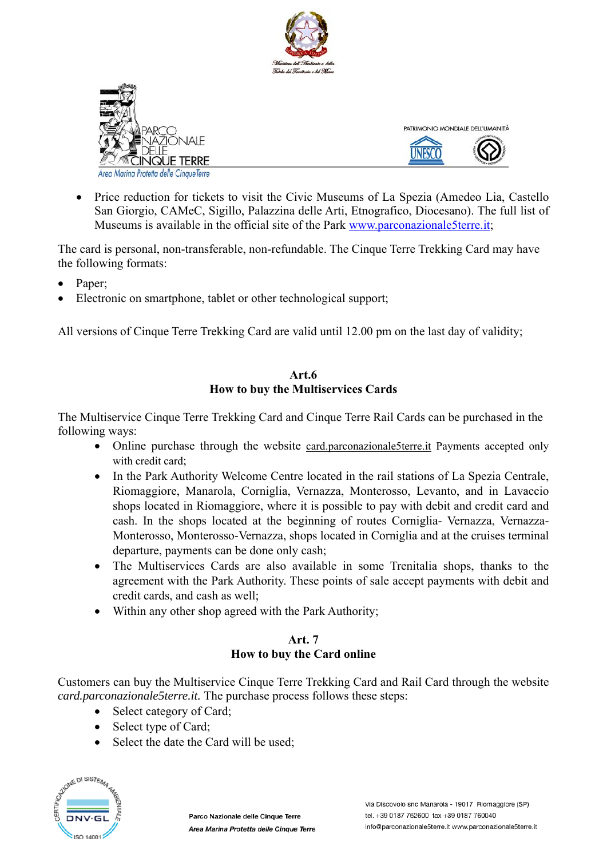





Marina Protetta delle CinaueTerre

• Price reduction for tickets to visit the Civic Museums of La Spezia (Amedeo Lia, Castello San Giorgio, CAMeC, Sigillo, Palazzina delle Arti, Etnografico, Diocesano). The full list of Museums is available in the official site of the Park www.parconazionale5terre.it;

The card is personal, non-transferable, non-refundable. The Cinque Terre Trekking Card may have the following formats:

- Paper;
- Electronic on smartphone, tablet or other technological support;

All versions of Cinque Terre Trekking Card are valid until 12.00 pm on the last day of validity;

# **Art.6 How to buy the Multiservices Cards**

The Multiservice Cinque Terre Trekking Card and Cinque Terre Rail Cards can be purchased in the following ways:

- Online purchase through the website card.parconazionale5terre.it Payments accepted only with credit card:
- In the Park Authority Welcome Centre located in the rail stations of La Spezia Centrale, Riomaggiore, Manarola, Corniglia, Vernazza, Monterosso, Levanto, and in Lavaccio shops located in Riomaggiore, where it is possible to pay with debit and credit card and cash. In the shops located at the beginning of routes Corniglia- Vernazza, Vernazza-Monterosso, Monterosso-Vernazza, shops located in Corniglia and at the cruises terminal departure, payments can be done only cash;
- The Multiservices Cards are also available in some Trenitalia shops, thanks to the agreement with the Park Authority. These points of sale accept payments with debit and credit cards, and cash as well;
- Within any other shop agreed with the Park Authority;

# **Art. 7 How to buy the Card online**

Customers can buy the Multiservice Cinque Terre Trekking Card and Rail Card through the website *card.parconazionale5terre.it.* The purchase process follows these steps:

- Select category of Card;
- Select type of Card;
- Select the date the Card will be used:

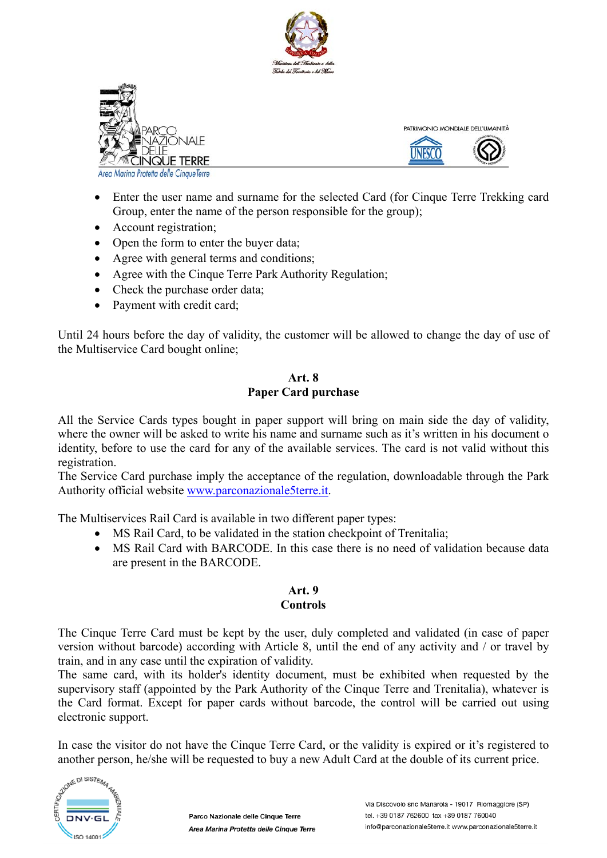





Marina Protetta delle CinqueTerre

- Enter the user name and surname for the selected Card (for Cinque Terre Trekking card Group, enter the name of the person responsible for the group);
- Account registration;
- Open the form to enter the buyer data;
- Agree with general terms and conditions;
- Agree with the Cinque Terre Park Authority Regulation;
- Check the purchase order data;
- Payment with credit card;

Until 24 hours before the day of validity, the customer will be allowed to change the day of use of the Multiservice Card bought online;

#### **Art. 8 Paper Card purchase**

All the Service Cards types bought in paper support will bring on main side the day of validity, where the owner will be asked to write his name and surname such as it's written in his document o identity, before to use the card for any of the available services. The card is not valid without this registration.

The Service Card purchase imply the acceptance of the regulation, downloadable through the Park Authority official website www.parconazionale5terre.it.

The Multiservices Rail Card is available in two different paper types:

- MS Rail Card, to be validated in the station checkpoint of Trenitalia;
- MS Rail Card with BARCODE. In this case there is no need of validation because data are present in the BARCODE.

# **Art. 9 Controls**

The Cinque Terre Card must be kept by the user, duly completed and validated (in case of paper version without barcode) according with Article 8, until the end of any activity and / or travel by train, and in any case until the expiration of validity.

The same card, with its holder's identity document, must be exhibited when requested by the supervisory staff (appointed by the Park Authority of the Cinque Terre and Trenitalia), whatever is the Card format. Except for paper cards without barcode, the control will be carried out using electronic support.

In case the visitor do not have the Cinque Terre Card, or the validity is expired or it's registered to another person, he/she will be requested to buy a new Adult Card at the double of its current price.

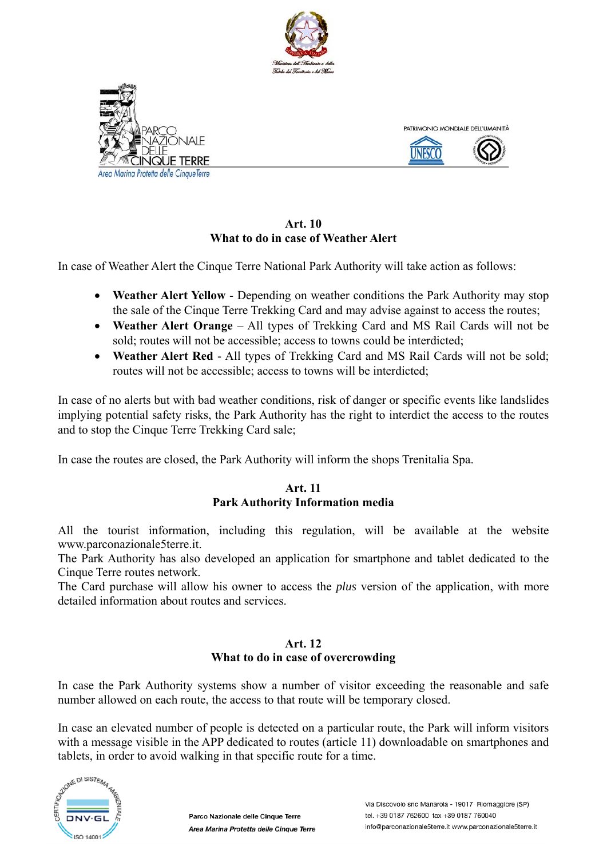





**Art. 10 What to do in case of Weather Alert**

In case of Weather Alert the Cinque Terre National Park Authority will take action as follows:

- **Weather Alert Yellow** Depending on weather conditions the Park Authority may stop the sale of the Cinque Terre Trekking Card and may advise against to access the routes;
- **Weather Alert Orange** All types of Trekking Card and MS Rail Cards will not be sold; routes will not be accessible; access to towns could be interdicted;
- **Weather Alert Red** All types of Trekking Card and MS Rail Cards will not be sold; routes will not be accessible; access to towns will be interdicted;

In case of no alerts but with bad weather conditions, risk of danger or specific events like landslides implying potential safety risks, the Park Authority has the right to interdict the access to the routes and to stop the Cinque Terre Trekking Card sale;

In case the routes are closed, the Park Authority will inform the shops Trenitalia Spa.

#### **Art. 11 Park Authority Information media**

All the tourist information, including this regulation, will be available at the website www.parconazionale5terre.it.

The Park Authority has also developed an application for smartphone and tablet dedicated to the Cinque Terre routes network.

The Card purchase will allow his owner to access the *plus* version of the application, with more detailed information about routes and services.

# **Art. 12 What to do in case of overcrowding**

In case the Park Authority systems show a number of visitor exceeding the reasonable and safe number allowed on each route, the access to that route will be temporary closed.

In case an elevated number of people is detected on a particular route, the Park will inform visitors with a message visible in the APP dedicated to routes (article 11) downloadable on smartphones and tablets, in order to avoid walking in that specific route for a time.

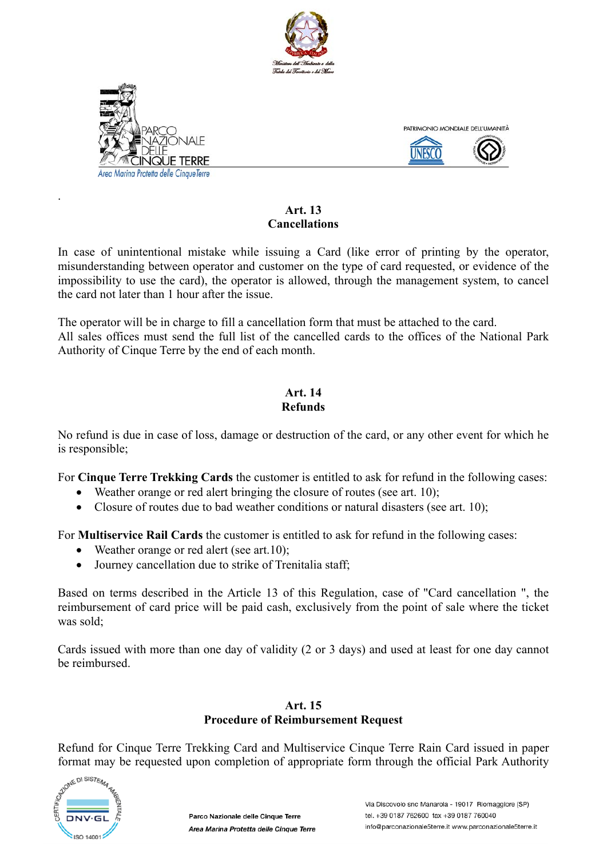



.



# **Art. 13 Cancellations**

In case of unintentional mistake while issuing a Card (like error of printing by the operator, misunderstanding between operator and customer on the type of card requested, or evidence of the impossibility to use the card), the operator is allowed, through the management system, to cancel the card not later than 1 hour after the issue.

The operator will be in charge to fill a cancellation form that must be attached to the card. All sales offices must send the full list of the cancelled cards to the offices of the National Park Authority of Cinque Terre by the end of each month.

#### **Art. 14 Refunds**

No refund is due in case of loss, damage or destruction of the card, or any other event for which he is responsible;

For **Cinque Terre Trekking Cards** the customer is entitled to ask for refund in the following cases:

- Weather orange or red alert bringing the closure of routes (see art. 10);
- Closure of routes due to bad weather conditions or natural disasters (see art. 10);

For **Multiservice Rail Cards** the customer is entitled to ask for refund in the following cases:

- Weather orange or red alert (see art.10);
- Journey cancellation due to strike of Trenitalia staff;

Based on terms described in the Article 13 of this Regulation, case of "Card cancellation ", the reimbursement of card price will be paid cash, exclusively from the point of sale where the ticket was sold;

Cards issued with more than one day of validity (2 or 3 days) and used at least for one day cannot be reimbursed.

# **Art. 15 Procedure of Reimbursement Request**

Refund for Cinque Terre Trekking Card and Multiservice Cinque Terre Rain Card issued in paper format may be requested upon completion of appropriate form through the official Park Authority

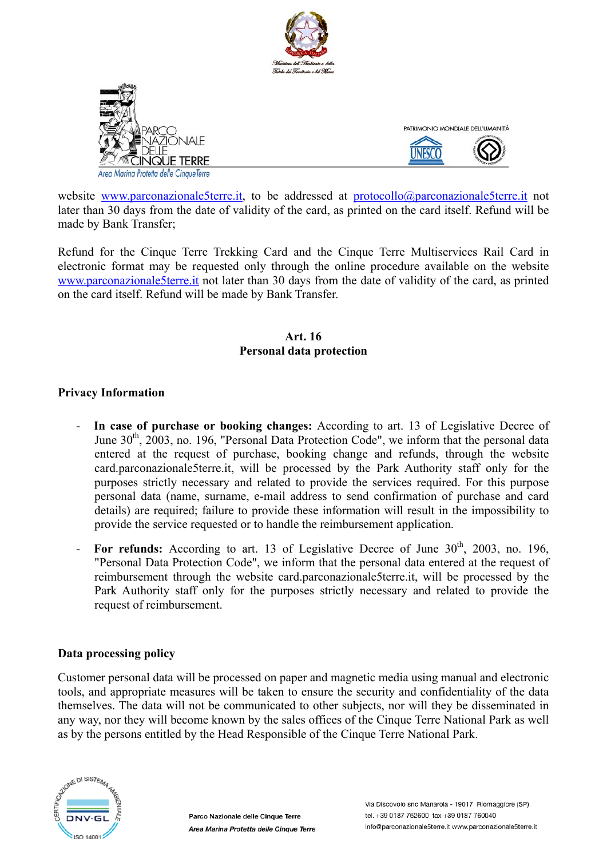

website www.parconazionale5terre.it, to be addressed at protocollo@parconazionale5terre.it not later than 30 days from the date of validity of the card, as printed on the card itself. Refund will be made by Bank Transfer;

Refund for the Cinque Terre Trekking Card and the Cinque Terre Multiservices Rail Card in electronic format may be requested only through the online procedure available on the website www.parconazionale5terre.it not later than 30 days from the date of validity of the card, as printed on the card itself. Refund will be made by Bank Transfer.

# **Art. 16 Personal data protection**

# **Privacy Information**

- **In case of purchase or booking changes:** According to art. 13 of Legislative Decree of June  $30<sup>th</sup>$ , 2003, no. 196, "Personal Data Protection Code", we inform that the personal data entered at the request of purchase, booking change and refunds, through the website card.parconazionale5terre.it, will be processed by the Park Authority staff only for the purposes strictly necessary and related to provide the services required. For this purpose personal data (name, surname, e-mail address to send confirmation of purchase and card details) are required; failure to provide these information will result in the impossibility to provide the service requested or to handle the reimbursement application.
- For refunds: According to art. 13 of Legislative Decree of June 30<sup>th</sup>, 2003, no. 196, "Personal Data Protection Code", we inform that the personal data entered at the request of reimbursement through the website card.parconazionale5terre.it, will be processed by the Park Authority staff only for the purposes strictly necessary and related to provide the request of reimbursement.

# **Data processing policy**

Customer personal data will be processed on paper and magnetic media using manual and electronic tools, and appropriate measures will be taken to ensure the security and confidentiality of the data themselves. The data will not be communicated to other subjects, nor will they be disseminated in any way, nor they will become known by the sales offices of the Cinque Terre National Park as well as by the persons entitled by the Head Responsible of the Cinque Terre National Park.